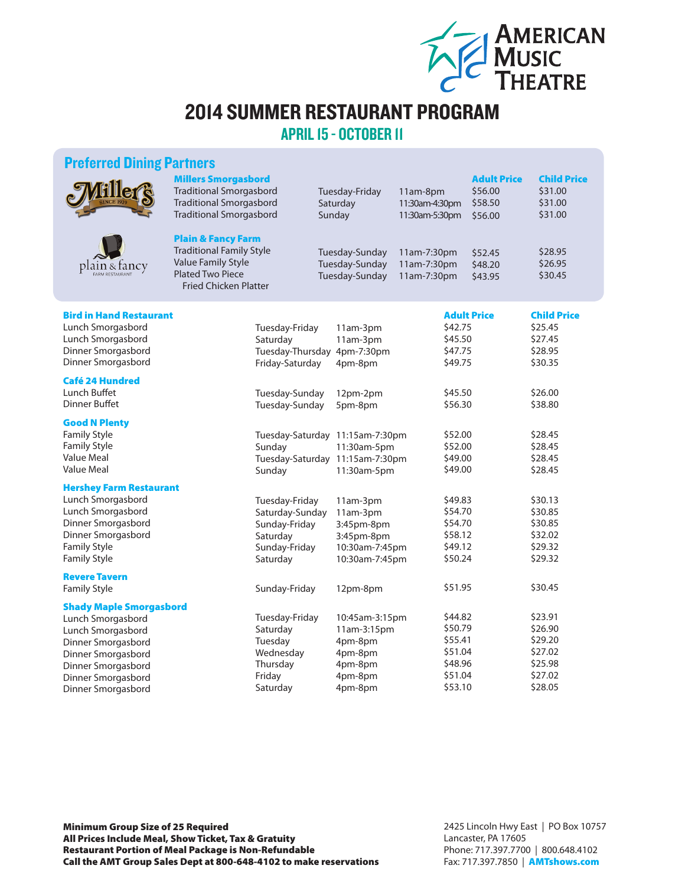

## 2014 SUMMER RESTAURANT PROGRAM

APRIL 15 - OCTOBER 11

## Preferred Dining Partners

|                                                                                                                                                                    | <b>Millers Smorgasbord</b><br><b>Traditional Smorgasbord</b><br><b>Traditional Smorgasbord</b><br><b>Traditional Smorgasbord</b><br><b>Plain &amp; Fancy Farm</b><br><b>Traditional Family Style</b><br><b>Value Family Style</b><br><b>Plated Two Piece</b><br><b>Fried Chicken Platter</b> |                                                                                             | Tuesday-Friday<br>Saturday<br>Sunday                                                             | 11am-8pm<br>11:30am-4:30pm<br>11:30am-5:30pm                   | <b>Adult Price</b><br>\$56.00<br>\$58.50<br>\$56.00 | <b>Child Price</b><br>\$31.00<br>\$31.00<br>\$31.00            |
|--------------------------------------------------------------------------------------------------------------------------------------------------------------------|----------------------------------------------------------------------------------------------------------------------------------------------------------------------------------------------------------------------------------------------------------------------------------------------|---------------------------------------------------------------------------------------------|--------------------------------------------------------------------------------------------------|----------------------------------------------------------------|-----------------------------------------------------|----------------------------------------------------------------|
| plain & fancy                                                                                                                                                      |                                                                                                                                                                                                                                                                                              |                                                                                             | Tuesday-Sunday<br>Tuesday-Sunday<br>Tuesday-Sunday                                               | 11am-7:30pm<br>11am-7:30pm<br>11am-7:30pm                      | \$52.45<br>\$48.20<br>\$43.95                       | \$28.95<br>\$26.95<br>\$30.45                                  |
| <b>Bird in Hand Restaurant</b><br>Lunch Smorgasbord<br>Lunch Smorgasbord<br>Dinner Smorgasbord<br>Dinner Smorgasbord                                               |                                                                                                                                                                                                                                                                                              | Tuesday-Friday<br>Saturday<br>Tuesday-Thursday 4pm-7:30pm<br>Friday-Saturday                | 11am-3pm<br>11am-3pm<br>4pm-8pm                                                                  | \$42.75<br>\$45.50<br>\$47.75<br>\$49.75                       | <b>Adult Price</b>                                  | <b>Child Price</b><br>\$25.45<br>\$27.45<br>\$28.95<br>\$30.35 |
| <b>Café 24 Hundred</b><br>Lunch Buffet<br><b>Dinner Buffet</b>                                                                                                     |                                                                                                                                                                                                                                                                                              | Tuesday-Sunday<br>Tuesday-Sunday                                                            | 12pm-2pm<br>5pm-8pm                                                                              | \$45.50<br>\$56.30                                             |                                                     | \$26.00<br>\$38.80                                             |
| <b>Good N Plenty</b><br><b>Family Style</b><br><b>Family Style</b><br><b>Value Meal</b><br><b>Value Meal</b>                                                       |                                                                                                                                                                                                                                                                                              | Sunday<br>Sunday                                                                            | Tuesday-Saturday 11:15am-7:30pm<br>11:30am-5pm<br>Tuesday-Saturday 11:15am-7:30pm<br>11:30am-5pm | \$52.00<br>\$52.00<br>\$49.00<br>\$49.00                       |                                                     | \$28.45<br>\$28.45<br>\$28.45<br>\$28.45                       |
| <b>Hershey Farm Restaurant</b><br>Lunch Smorgasbord<br>Lunch Smorgasbord<br>Dinner Smorgasbord<br>Dinner Smorgasbord<br><b>Family Style</b><br><b>Family Style</b> |                                                                                                                                                                                                                                                                                              | Tuesday-Friday<br>Saturday-Sunday<br>Sunday-Friday<br>Saturday<br>Sunday-Friday<br>Saturday | 11am-3pm<br>11am-3pm<br>3:45pm-8pm<br>3:45pm-8pm<br>10:30am-7:45pm<br>10:30am-7:45pm             | \$49.83<br>\$54.70<br>\$54.70<br>\$58.12<br>\$49.12<br>\$50.24 |                                                     | \$30.13<br>\$30.85<br>\$30.85<br>\$32.02<br>\$29.32<br>\$29.32 |
| <b>Revere Tavern</b><br><b>Family Style</b>                                                                                                                        |                                                                                                                                                                                                                                                                                              | Sunday-Friday                                                                               | 12pm-8pm                                                                                         | \$51.95                                                        |                                                     | \$30.45                                                        |
| <b>Shady Maple Smorgasbord</b><br>Lunch Smorgasbord<br>Lunch Smorgasbord<br>Dinner Smorgasbord<br>Dinner Smorgasbord<br>Dinner Smorgasbord                         |                                                                                                                                                                                                                                                                                              | Tuesday-Friday<br>Saturday<br>Tuesday<br>Wednesday<br>Thursday<br>Friday                    | 10:45am-3:15pm<br>11am-3:15pm<br>4pm-8pm<br>4pm-8pm<br>4pm-8pm<br>4pm-8pm                        | \$44.82<br>\$50.79<br>\$55.41<br>\$51.04<br>\$48.96<br>\$51.04 |                                                     | \$23.91<br>\$26.90<br>\$29.20<br>\$27.02<br>\$25.98<br>\$27.02 |
| Dinner Smorgasbord<br>Dinner Smorgasbord                                                                                                                           |                                                                                                                                                                                                                                                                                              | Saturday                                                                                    | 4pm-8pm                                                                                          | \$53.10                                                        |                                                     | \$28.05                                                        |